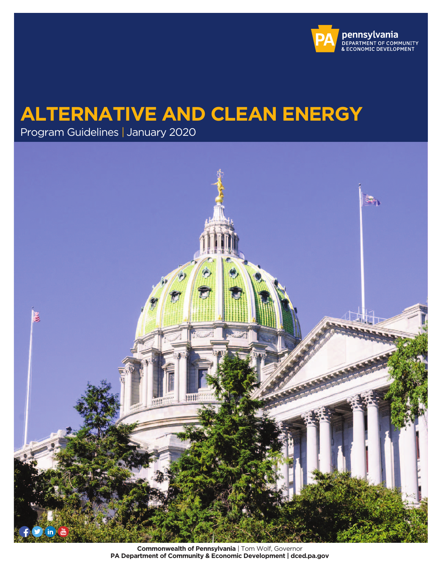

# **ALTERNATIVE AND CLEAN ENERGY**

Program Guidelines | January 2020



**Commonwealth of Pennsylvania** | Tom Wolf, Governor **PA Department of Community & Economic Development | [dced.pa.gov](https://dced.pa.gov)**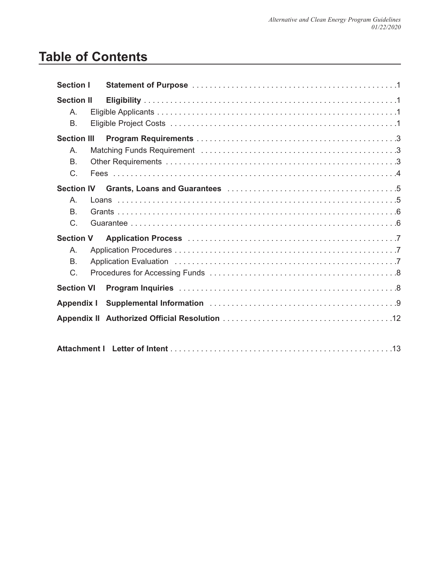# **Table of Contents**

| <b>Section I</b>                                               |  |  |  |  |
|----------------------------------------------------------------|--|--|--|--|
| <b>Section II</b><br>A.<br>В.                                  |  |  |  |  |
| <b>Section III</b><br>Α.<br><b>B.</b><br>$C$ .                 |  |  |  |  |
| <b>Section IV</b><br>$A_{1}$<br>B.<br>C.                       |  |  |  |  |
| <b>Section V</b><br>Α.<br><b>B.</b><br>C.<br><b>Section VI</b> |  |  |  |  |
| <b>Appendix I</b>                                              |  |  |  |  |
|                                                                |  |  |  |  |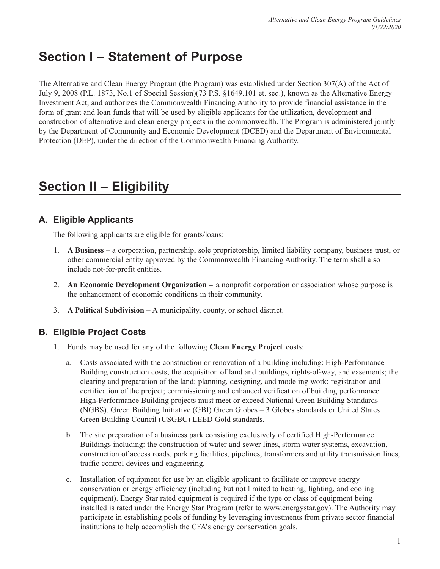# **Section I – Statement of Purpose**

The Alternative and Clean Energy Program (the Program) was established under Section 307(A) of the Act of July 9, 2008 (P.L. 1873, No.1 of Special Session)(73 P.S. §1649.101 et. seq.), known as the Alternative Energy Investment Act, and authorizes the Commonwealth Financing Authority to provide financial assistance in the form of grant and loan funds that will be used by eligible applicants for the utilization, development and construction of alternative and clean energy projects in the commonwealth. The Program is administered jointly by the Department of Community and Economic Development (DCED) and the Department of Environmental Protection (DEP), under the direction of the Commonwealth Financing Authority.

# **Section II – Eligibility**

# **A. Eligible Applicants**

The following applicants are eligible for grants/loans:

- 1. **A Business –** a corporation, partnership, sole proprietorship, limited liability company, business trust, or other commercial entity approved by the Commonwealth Financing Authority. The term shall also include not-for-profit entities.
- 2. **An Economic Development Organization –** a nonprofit corporation or association whose purpose is the enhancement of economic conditions in their community.
- 3. **A Political Subdivision –** A municipality, county, or school district.

# **B. Eligible Project Costs**

- 1. Funds may be used for any of the following **Clean Energy Project** costs:
	- a. Costs associated with the construction or renovation of a building including: High-Performance Building construction costs; the acquisition of land and buildings, rights-of-way, and easements; the clearing and preparation of the land; planning, designing, and modeling work; registration and certification of the project; commissioning and enhanced verification of building performance. High-Performance Building projects must meet or exceed National Green Building Standards (NGBS), Green Building Initiative (GBI) Green Globes – 3 Globes standards or United States Green Building Council (USGBC) LEED Gold standards.
	- b. The site preparation of a business park consisting exclusively of certified High-Performance Buildings including: the construction of water and sewer lines, storm water systems, excavation, construction of access roads, parking facilities, pipelines, transformers and utility transmission lines, traffic control devices and engineering.
	- $c_{\cdot}$ Installation of equipment for use by an eligible applicant to facilitate or improve energy conservation or energy efficiency (including but not limited to heating, lighting, and cooling equipment). Energy Star rated equipment is required if the type or class of equipment being installed is rated under the Energy Star Program (refer to <www.energystar.gov>). The Authority may participate in establishing pools of funding by leveraging investments from private sector financial institutions to help accomplish the CFA's energy conservation goals.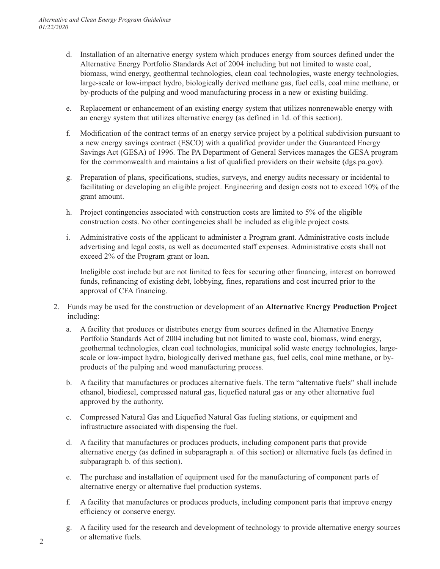- d. Installation of an alternative energy system which produces energy from sources defined under the Alternative Energy Portfolio Standards Act of 2004 including but not limited to waste coal, biomass, wind energy, geothermal technologies, clean coal technologies, waste energy technologies, large-scale or low-impact hydro, biologically derived methane gas, fuel cells, coal mine methane, or by-products of the pulping and wood manufacturing process in a new or existing building.
- e. Replacement or enhancement of an existing energy system that utilizes nonrenewable energy with an energy system that utilizes alternative energy (as defined in 1d. of this section).
- f. Modification of the contract terms of an energy service project by a political subdivision pursuant to for the commonwealth and maintains a list of qualified providers on their website (dgs.pa.gov). a new energy savings contract (ESCO) with a qualified provider under the Guaranteed Energy Savings Act (GESA) of 1996. The PA Department of General Services manages the GESA program
- for the commonwealth and maintains a list of qualified providers on their website [\(dgs.pa.gov\)](https://dgs.pa.gov). g. Preparation of plans, specifications, studies, surveys, and energy audits necessary or incidental to facilitating or developing an eligible project. Engineering and design costs not to exceed 10% of the grant amount.
- h. Project contingencies associated with construction costs are limited to 5% of the eligible construction costs. No other contingencies shall be included as eligible project costs.
- i. Administrative costs of the applicant to administer a Program grant. Administrative costs include advertising and legal costs, as well as documented staff expenses. Administrative costs shall not exceed 2% of the Program grant or loan.

Ineligible cost include but are not limited to fees for securing other financing, interest on borrowed funds, refinancing of existing debt, lobbying, fines, reparations and cost incurred prior to the approval of CFA financing.

- 2. Funds may be used for the construction or development of an **Alternative Energy Production Project**  including:
	- a. A facility that produces or distributes energy from sources defined in the Alternative Energy Portfolio Standards Act of 2004 including but not limited to waste coal, biomass, wind energy, geothermal technologies, clean coal technologies, municipal solid waste energy technologies, largescale or low-impact hydro, biologically derived methane gas, fuel cells, coal mine methane, or byproducts of the pulping and wood manufacturing process.
	- b. A facility that manufactures or produces alternative fuels. The term "alternative fuels" shall include ethanol, biodiesel, compressed natural gas, liquefied natural gas or any other alternative fuel approved by the authority.
	- c. Compressed Natural Gas and Liquefied Natural Gas fueling stations, or equipment and infrastructure associated with dispensing the fuel.
	- d. A facility that manufactures or produces products, including component parts that provide alternative energy (as defined in subparagraph a. of this section) or alternative fuels (as defined in subparagraph b. of this section).
	- e. The purchase and installation of equipment used for the manufacturing of component parts of alternative energy or alternative fuel production systems.
	- f. A facility that manufactures or produces products, including component parts that improve energy efficiency or conserve energy.
- g. A facility used for the research and development of technology to provide alternative energy sources 2 or alternative fuels.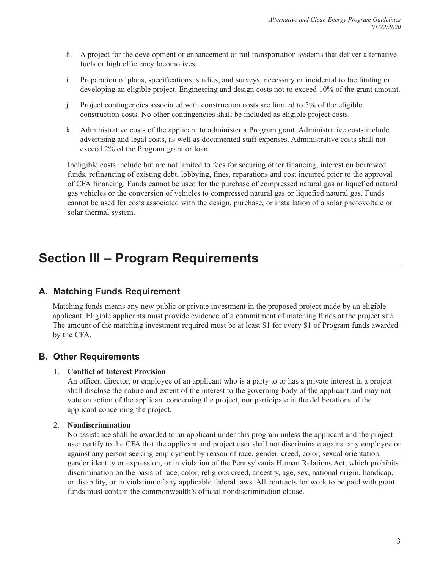- h. A project for the development or enhancement of rail transportation systems that deliver alternative fuels or high efficiency locomotives.
- $i$ . i. Preparation of plans, specifications, studies, and surveys, necessary or incidental to facilitating or developing an eligible project. Engineering and design costs not to exceed 10% of the grant amount.
- $\mathbf{i}$ . Project contingencies associated with construction costs are limited to 5% of the eligible construction costs. No other contingencies shall be included as eligible project costs.
- k. Administrative costs of the applicant to administer a Program grant. Administrative costs include advertising and legal costs, as well as documented staff expenses. Administrative costs shall not exceed 2% of the Program grant or loan.

Ineligible costs include but are not limited to fees for securing other financing, interest on borrowed funds, refinancing of existing debt, lobbying, fines, reparations and cost incurred prior to the approval of CFA financing. Funds cannot be used for the purchase of compressed natural gas or liquefied natural gas vehicles or the conversion of vehicles to compressed natural gas or liquefied natural gas. Funds cannot be used for costs associated with the design, purchase, or installation of a solar photovoltaic or solar thermal system.

# **Section III – Program Requirements**

# **A. Matching Funds Requirement**

applicant. Eligible applicants must provide evidence of a commitment of matching funds at the project site. Matching funds means any new public or private investment in the proposed project made by an eligible The amount of the matching investment required must be at least \$1 for every \$1 of Program funds awarded by the CFA.

# **B. Other Requirements**

# 1. **Conflict of Interest Provision**

An officer, director, or employee of an applicant who is a party to or has a private interest in a project shall disclose the nature and extent of the interest to the governing body of the applicant and may not vote on action of the applicant concerning the project, nor participate in the deliberations of the applicant concerning the project.

# 2. **Nondiscrimination**

No assistance shall be awarded to an applicant under this program unless the applicant and the project user certify to the CFA that the applicant and project user shall not discriminate against any employee or against any person seeking employment by reason of race, gender, creed, color, sexual orientation, gender identity or expression, or in violation of the Pennsylvania Human Relations Act, which prohibits discrimination on the basis of race, color, religious creed, ancestry, age, sex, national origin, handicap, or disability, or in violation of any applicable federal laws. All contracts for work to be paid with grant funds must contain the commonwealth's official nondiscrimination clause.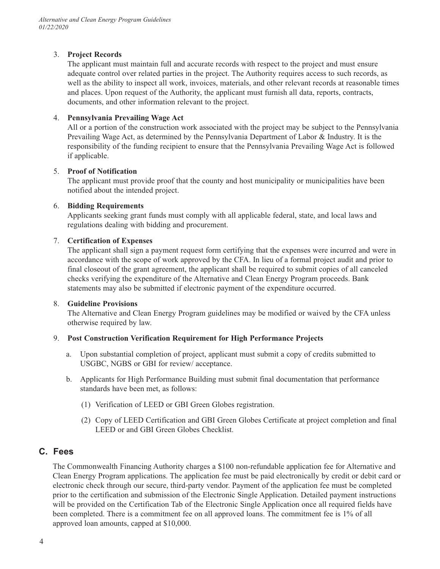### 3. **Project Records**

The applicant must maintain full and accurate records with respect to the project and must ensure adequate control over related parties in the project. The Authority requires access to such records, as well as the ability to inspect all work, invoices, materials, and other relevant records at reasonable times and places. Upon request of the Authority, the applicant must furnish all data, reports, contracts, documents, and other information relevant to the project.

### 4. **Pennsylvania Prevailing Wage Act**

All or a portion of the construction work associated with the project may be subject to the Pennsylvania Prevailing Wage Act, as determined by the Pennsylvania Department of Labor & Industry. It is the responsibility of the funding recipient to ensure that the Pennsylvania Prevailing Wage Act is followed if applicable.

### 5. **Proof of Notification**

The applicant must provide proof that the county and host municipality or municipalities have been notified about the intended project.

### 6. **Bidding Requirements**

Applicants seeking grant funds must comply with all applicable federal, state, and local laws and regulations dealing with bidding and procurement.

### 7. **Certification of Expenses**

The applicant shall sign a payment request form certifying that the expenses were incurred and were in accordance with the scope of work approved by the CFA. In lieu of a formal project audit and prior to final closeout of the grant agreement, the applicant shall be required to submit copies of all canceled checks verifying the expenditure of the Alternative and Clean Energy Program proceeds. Bank statements may also be submitted if electronic payment of the expenditure occurred.

#### 8. **Guideline Provisions**

The Alternative and Clean Energy Program guidelines may be modified or waived by the CFA unless otherwise required by law.

### 9. **Post Construction Verification Requirement for High Performance Projects**

- a. Upon substantial completion of project, applicant must submit a copy of credits submitted to USGBC, NGBS or GBI for review/ acceptance.
- b. Applicants for High Performance Building must submit final documentation that performance standards have been met, as follows:
	- (1) Verification of LEED or GBI Green Globes registration.
	- (2) Copy of LEED Certification and GBI Green Globes Certificate at project completion and final LEED or and GBI Green Globes Checklist.

# **C. Fees**

The Commonwealth Financing Authority charges a \$100 non-refundable application fee for Alternative and Clean Energy Program applications. The application fee must be paid electronically by credit or debit card or electronic check through our secure, third-party vendor. Payment of the application fee must be completed prior to the certification and submission of the Electronic Single Application. Detailed payment instructions will be provided on the Certification Tab of the Electronic Single Application once all required fields have been completed. There is a commitment fee on all approved loans. The commitment fee is 1% of all approved loan amounts, capped at \$10,000.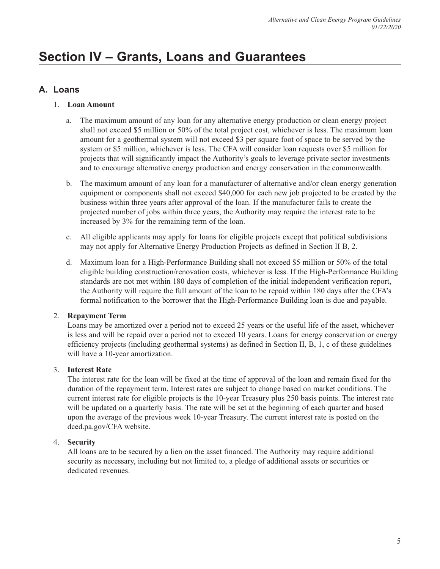# **Section IV – Grants, Loans and Guarantees**

# **A. Loans**

# 1. **Loan Amount**

- a. The maximum amount of any loan for any alternative energy production or clean energy project shall not exceed \$5 million or 50% of the total project cost, whichever is less. The maximum loan amount for a geothermal system will not exceed \$3 per square foot of space to be served by the system or \$5 million, whichever is less. The CFA will consider loan requests over \$5 million for projects that will significantly impact the Authority's goals to leverage private sector investments and to encourage alternative energy production and energy conservation in the commonwealth.
- b. The maximum amount of any loan for a manufacturer of alternative and/or clean energy generation equipment or components shall not exceed \$40,000 for each new job projected to be created by the business within three years after approval of the loan. If the manufacturer fails to create the projected number of jobs within three years, the Authority may require the interest rate to be increased by 3% for the remaining term of the loan.
- c. All eligible applicants may apply for loans for eligible projects except that political subdivisions may not apply for Alternative Energy Production Projects as defined in Section II B, 2.
- d. Maximum loan for a High-Performance Building shall not exceed \$5 million or 50% of the total eligible building construction/renovation costs, whichever is less. If the High-Performance Building standards are not met within 180 days of completion of the initial independent verification report, the Authority will require the full amount of the loan to be repaid within 180 days after the CFA's formal notification to the borrower that the High-Performance Building loan is due and payable.

# 2. **Repayment Term**

Loans may be amortized over a period not to exceed 25 years or the useful life of the asset, whichever is less and will be repaid over a period not to exceed 10 years. Loans for energy conservation or energy efficiency projects (including geothermal systems) as defined in Section II, B, 1, c of these guidelines will have a 10-year amortization.

# 3. **Interest Rate**

The interest rate for the loan will be fixed at the time of approval of the loan and remain fixed for the duration of the repayment term. Interest rates are subject to change based on market conditions. The current interest rate for eligible projects is the 10-year Treasury plus 250 basis points. The interest rate will be updated on a quarterly basis. The rate will be set at the beginning of each quarter and based upon the average of the previous week 10-year Treasury. The current interest rate is posted on the [dced.pa.gov/CFA](https://dced.pa.gov/CFA) website.

# 4. **Security**

All loans are to be secured by a lien on the asset financed. The Authority may require additional security as necessary, including but not limited to, a pledge of additional assets or securities or dedicated revenues.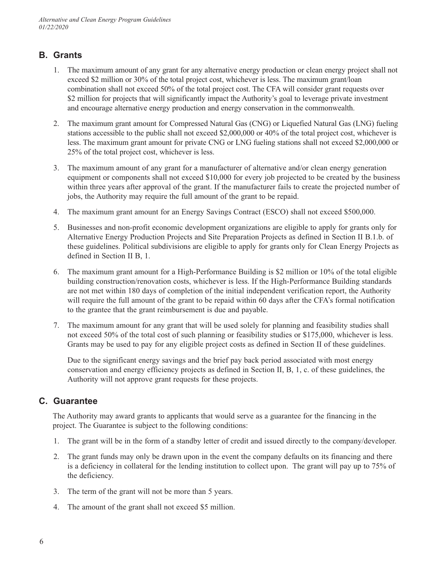# **B. Grants**

- 1. The maximum amount of any grant for any alternative energy production or clean energy project shall not exceed \$2 million or 30% of the total project cost, whichever is less. The maximum grant/loan combination shall not exceed 50% of the total project cost. The CFA will consider grant requests over \$2 million for projects that will significantly impact the Authority's goal to leverage private investment and encourage alternative energy production and energy conservation in the commonwealth.
- 2. The maximum grant amount for Compressed Natural Gas (CNG) or Liquefied Natural Gas (LNG) fueling stations accessible to the public shall not exceed \$2,000,000 or 40% of the total project cost, whichever is less. The maximum grant amount for private CNG or LNG fueling stations shall not exceed \$2,000,000 or 25% of the total project cost, whichever is less.
- 3. The maximum amount of any grant for a manufacturer of alternative and/or clean energy generation equipment or components shall not exceed \$10,000 for every job projected to be created by the business within three years after approval of the grant. If the manufacturer fails to create the projected number of jobs, the Authority may require the full amount of the grant to be repaid.
- 4. The maximum grant amount for an Energy Savings Contract (ESCO) shall not exceed \$500,000.
- 5. Businesses and non-profit economic development organizations are eligible to apply for grants only for Alternative Energy Production Projects and Site Preparation Projects as defined in Section II B.1.b. of these guidelines. Political subdivisions are eligible to apply for grants only for Clean Energy Projects as defined in Section II B, 1.
- 6. The maximum grant amount for a High-Performance Building is \$2 million or 10% of the total eligible building construction/renovation costs, whichever is less. If the High-Performance Building standards are not met within 180 days of completion of the initial independent verification report, the Authority will require the full amount of the grant to be repaid within 60 days after the CFA's formal notification to the grantee that the grant reimbursement is due and payable.
- 7. The maximum amount for any grant that will be used solely for planning and feasibility studies shall not exceed 50% of the total cost of such planning or feasibility studies or \$175,000, whichever is less. Grants may be used to pay for any eligible project costs as defined in Section II of these guidelines.

Due to the significant energy savings and the brief pay back period associated with most energy conservation and energy efficiency projects as defined in Section II, B, 1, c. of these guidelines, the Authority will not approve grant requests for these projects.

# **C. Guarantee**

The Authority may award grants to applicants that would serve as a guarantee for the financing in the project. The Guarantee is subject to the following conditions:

- 1. The grant will be in the form of a standby letter of credit and issued directly to the company/developer.
- 2. The grant funds may only be drawn upon in the event the company defaults on its financing and there is a deficiency in collateral for the lending institution to collect upon. The grant will pay up to 75% of the deficiency.
- 3. The term of the grant will not be more than 5 years.
- 4. The amount of the grant shall not exceed \$5 million.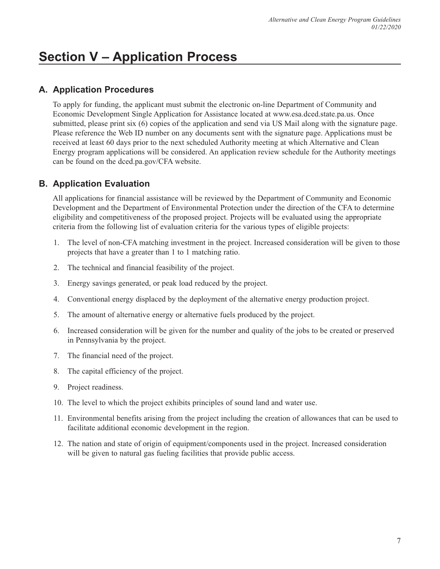# **Section V – Application Process**

# **A. Application Procedures**

To apply for funding, the applicant must submit the electronic on-line Department of Community and Economic Development Single Application for Assistance located at [www.esa.dced.state.pa.us.](www.esa.dced.state.pa.us) Once submitted, please print six (6) copies of the application and send via US Mail along with the signature page. Please reference the Web ID number on any documents sent with the signature page. Applications must be received at least 60 days prior to the next scheduled Authority meeting at which Alternative and Clean Energy program applications will be considered. An application review schedule for the Authority meetings can be found on the [dced.pa.gov/CFA](https://dced.pa.gov/CFA) website.

# **B. Application Evaluation**

All applications for financial assistance will be reviewed by the Department of Community and Economic Development and the Department of Environmental Protection under the direction of the CFA to determine eligibility and competitiveness of the proposed project. Projects will be evaluated using the appropriate criteria from the following list of evaluation criteria for the various types of eligible projects:

- $1.$ The level of non-CFA matching investment in the project. Increased consideration will be given to those projects that have a greater than 1 to 1 matching ratio.
- 2. The technical and financial feasibility of the project.
- 3. Energy savings generated, or peak load reduced by the project.
- 4. Conventional energy displaced by the deployment of the alternative energy production project.
- 5. The amount of alternative energy or alternative fuels produced by the project.
- 6. Increased consideration will be given for the number and quality of the jobs to be created or preserved in Pennsylvania by the project.
- 7. The financial need of the project.
- 8. The capital efficiency of the project.
- 9. Project readiness.
- 10. The level to which the project exhibits principles of sound land and water use.
- 11. Environmental benefits arising from the project including the creation of allowances that can be used to facilitate additional economic development in the region.
- 12. The nation and state of origin of equipment/components used in the project. Increased consideration will be given to natural gas fueling facilities that provide public access.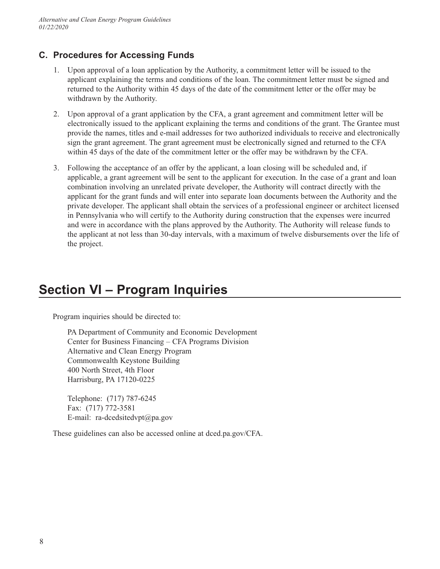# **C. Procedures for Accessing Funds**

- 1. Upon approval of a loan application by the Authority, a commitment letter will be issued to the applicant explaining the terms and conditions of the loan. The commitment letter must be signed and returned to the Authority within 45 days of the date of the commitment letter or the offer may be withdrawn by the Authority.
- 2. Upon approval of a grant application by the CFA, a grant agreement and commitment letter will be electronically issued to the applicant explaining the terms and conditions of the grant. The Grantee must provide the names, titles and e-mail addresses for two authorized individuals to receive and electronically sign the grant agreement. The grant agreement must be electronically signed and returned to the CFA within 45 days of the date of the commitment letter or the offer may be withdrawn by the CFA.
- 3. Following the acceptance of an offer by the applicant, a loan closing will be scheduled and, if applicable, a grant agreement will be sent to the applicant for execution. In the case of a grant and loan combination involving an unrelated private developer, the Authority will contract directly with the applicant for the grant funds and will enter into separate loan documents between the Authority and the private developer. The applicant shall obtain the services of a professional engineer or architect licensed in Pennsylvania who will certify to the Authority during construction that the expenses were incurred and were in accordance with the plans approved by the Authority. The Authority will release funds to the applicant at not less than 30-day intervals, with a maximum of twelve disbursements over the life of the project.

# **Section VI – Program Inquiries**

Program inquiries should be directed to:

PA Department of Community and Economic Development Center for Business Financing – CFA Programs Division Alternative and Clean Energy Program Commonwealth Keystone Building 400 North Street, 4th Floor Harrisburg, PA 17120-0225

Telephone: (717) 787-6245 Fax: (717) 772-3581 E-mail: [ra-dcedsitedvpt@pa.gov](mailto:ra-dcedsitedvpt@pa.gov) 

These guidelines can also be accessed online at [dced.pa.gov/CFA](https://dced.pa.gov/CFA).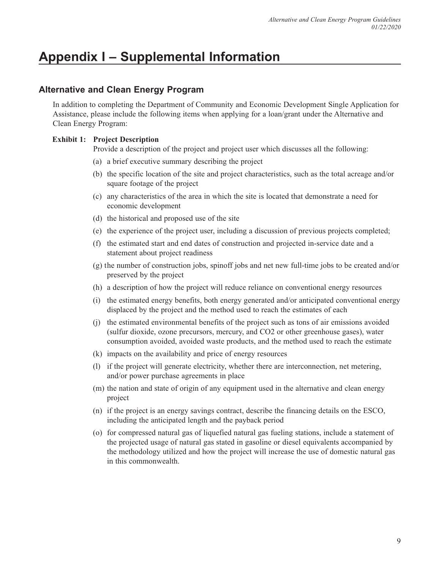# **Appendix I – Supplemental Information**

# **Alternative and Clean Energy Program**

In addition to completing the Department of Community and Economic Development Single Application for Assistance, please include the following items when applying for a loan/grant under the Alternative and Clean Energy Program:

### **Exhibit 1: Project Description**

Provide a description of the project and project user which discusses all the following:

- (a) a brief executive summary describing the project
- (b) the specific location of the site and project characteristics, such as the total acreage and/or square footage of the project
- (c) any characteristics of the area in which the site is located that demonstrate a need for economic development
- (d) the historical and proposed use of the site
- (e) the experience of the project user, including a discussion of previous projects completed;
- (f) the estimated start and end dates of construction and projected in-service date and a statement about project readiness
- (g) the number of construction jobs, spinoff jobs and net new full-time jobs to be created and/or preserved by the project
- (h) a description of how the project will reduce reliance on conventional energy resources
- (i) the estimated energy benefits, both energy generated and/or anticipated conventional energy displaced by the project and the method used to reach the estimates of each
- (j) the estimated environmental benefits of the project such as tons of air emissions avoided (sulfur dioxide, ozone precursors, mercury, and CO2 or other greenhouse gases), water consumption avoided, avoided waste products, and the method used to reach the estimate
- (k) impacts on the availability and price of energy resources
- (l) if the project will generate electricity, whether there are interconnection, net metering, and/or power purchase agreements in place
- (m) the nation and state of origin of any equipment used in the alternative and clean energy project
- (n) if the project is an energy savings contract, describe the financing details on the ESCO, including the anticipated length and the payback period
- (o) for compressed natural gas of liquefied natural gas fueling stations, include a statement of the projected usage of natural gas stated in gasoline or diesel equivalents accompanied by the methodology utilized and how the project will increase the use of domestic natural gas in this commonwealth.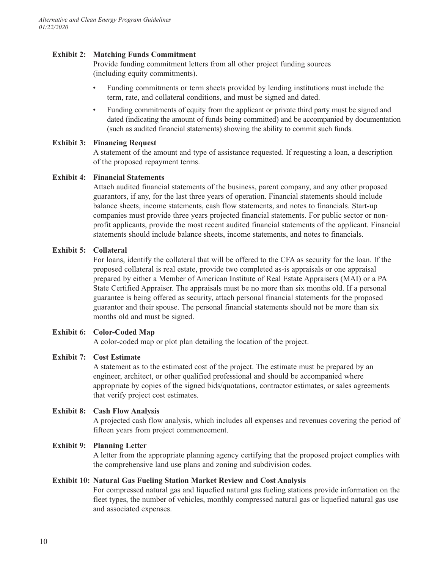#### **Exhibit 2: Matching Funds Commitment**

Provide funding commitment letters from all other project funding sources (including equity commitments).

- Funding commitments or term sheets provided by lending institutions must include the term, rate, and collateral conditions, and must be signed and dated.
- Funding commitments of equity from the applicant or private third party must be signed and dated (indicating the amount of funds being committed) and be accompanied by documentation (such as audited financial statements) showing the ability to commit such funds.

### **Exhibit 3: Financing Request**

A statement of the amount and type of assistance requested. If requesting a loan, a description of the proposed repayment terms.

### **Exhibit 4: Financial Statements**

Attach audited financial statements of the business, parent company, and any other proposed guarantors, if any, for the last three years of operation. Financial statements should include balance sheets, income statements, cash flow statements, and notes to financials. Start-up companies must provide three years projected financial statements. For public sector or nonprofit applicants, provide the most recent audited financial statements of the applicant. Financial statements should include balance sheets, income statements, and notes to financials.

#### **Exhibit 5: Collateral**

For loans, identify the collateral that will be offered to the CFA as security for the loan. If the proposed collateral is real estate, provide two completed as-is appraisals or one appraisal prepared by either a Member of American Institute of Real Estate Appraisers (MAI) or a PA State Certified Appraiser. The appraisals must be no more than six months old. If a personal guarantee is being offered as security, attach personal financial statements for the proposed guarantor and their spouse. The personal financial statements should not be more than six months old and must be signed.

#### **Exhibit 6: Color-Coded Map**

A color-coded map or plot plan detailing the location of the project.

#### **Exhibit 7: Cost Estimate**

A statement as to the estimated cost of the project. The estimate must be prepared by an engineer, architect, or other qualified professional and should be accompanied where appropriate by copies of the signed bids/quotations, contractor estimates, or sales agreements that verify project cost estimates.

#### **Exhibit 8: Cash Flow Analysis**

A projected cash flow analysis, which includes all expenses and revenues covering the period of fifteen years from project commencement.

#### **Exhibit 9: Planning Letter**

A letter from the appropriate planning agency certifying that the proposed project complies with the comprehensive land use plans and zoning and subdivision codes.

#### **Exhibit 10: Natural Gas Fueling Station Market Review and Cost Analysis**

For compressed natural gas and liquefied natural gas fueling stations provide information on the fleet types, the number of vehicles, monthly compressed natural gas or liquefied natural gas use and associated expenses.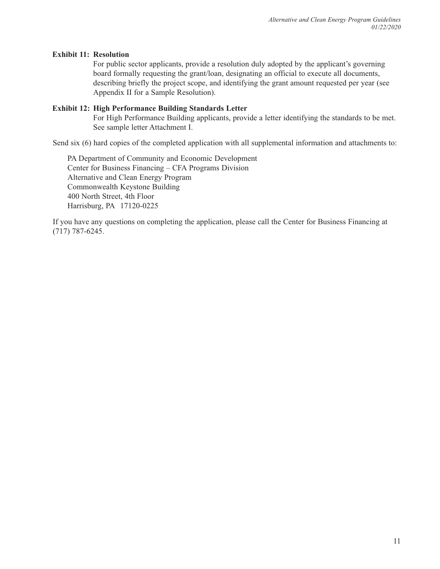#### **Exhibit 11: Resolution**

For public sector applicants, provide a resolution duly adopted by the applicant's governing board formally requesting the grant/loan, designating an official to execute all documents, describing briefly the project scope, and identifying the grant amount requested per year (see Appendix II for a Sample Resolution).

### **Exhibit 12: High Performance Building Standards Letter**

For High Performance Building applicants, provide a letter identifying the standards to be met. See sample letter Attachment I.

Send six (6) hard copies of the completed application with all supplemental information and attachments to:

PA Department of Community and Economic Development Center for Business Financing – CFA Programs Division Alternative and Clean Energy Program Commonwealth Keystone Building 400 North Street, 4th Floor Harrisburg, PA 17120-0225

If you have any questions on completing the application, please call the Center for Business Financing at (717) 787-6245.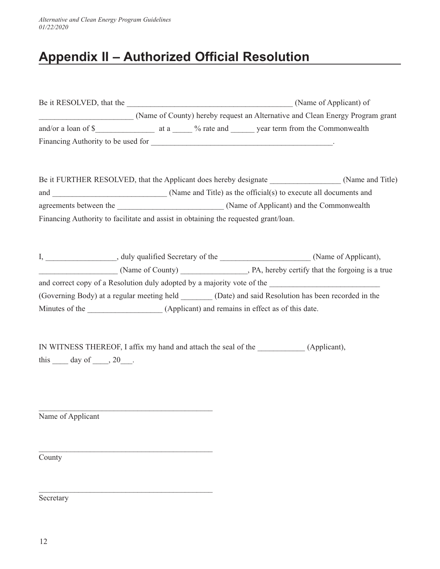# **Appendix II – Authorized Official Resolution**

|                                                                                     | (Name of County) hereby request an Alternative and Clean Energy Program grant                           |  |  |
|-------------------------------------------------------------------------------------|---------------------------------------------------------------------------------------------------------|--|--|
|                                                                                     |                                                                                                         |  |  |
|                                                                                     |                                                                                                         |  |  |
|                                                                                     |                                                                                                         |  |  |
|                                                                                     | Be it FURTHER RESOLVED, that the Applicant does hereby designate ________________(Name and Title)       |  |  |
|                                                                                     |                                                                                                         |  |  |
|                                                                                     |                                                                                                         |  |  |
| Financing Authority to facilitate and assist in obtaining the requested grant/loan. |                                                                                                         |  |  |
|                                                                                     |                                                                                                         |  |  |
|                                                                                     |                                                                                                         |  |  |
|                                                                                     | I, ______________________, duly qualified Secretary of the _______________________(Name of Applicant),  |  |  |
|                                                                                     |                                                                                                         |  |  |
|                                                                                     |                                                                                                         |  |  |
|                                                                                     | (Governing Body) at a regular meeting held ________ (Date) and said Resolution has been recorded in the |  |  |
|                                                                                     |                                                                                                         |  |  |
|                                                                                     |                                                                                                         |  |  |
|                                                                                     |                                                                                                         |  |  |
|                                                                                     |                                                                                                         |  |  |
| this $\_\_\_$ day of $\_\_\_$ , 20 $\_\_\_$ .                                       |                                                                                                         |  |  |
|                                                                                     |                                                                                                         |  |  |

Name of Applicant

\_\_\_\_\_\_\_\_\_\_\_\_\_\_\_\_\_\_\_\_\_\_\_\_\_\_\_\_\_\_\_\_\_\_\_\_\_\_\_\_\_\_\_\_

\_\_\_\_\_\_\_\_\_\_\_\_\_\_\_\_\_\_\_\_\_\_\_\_\_\_\_\_\_\_\_\_\_\_\_\_\_\_\_\_\_\_\_\_

\_\_\_\_\_\_\_\_\_\_\_\_\_\_\_\_\_\_\_\_\_\_\_\_\_\_\_\_\_\_\_\_\_\_\_\_\_\_\_\_\_\_\_\_

**County** 

**Secretary**